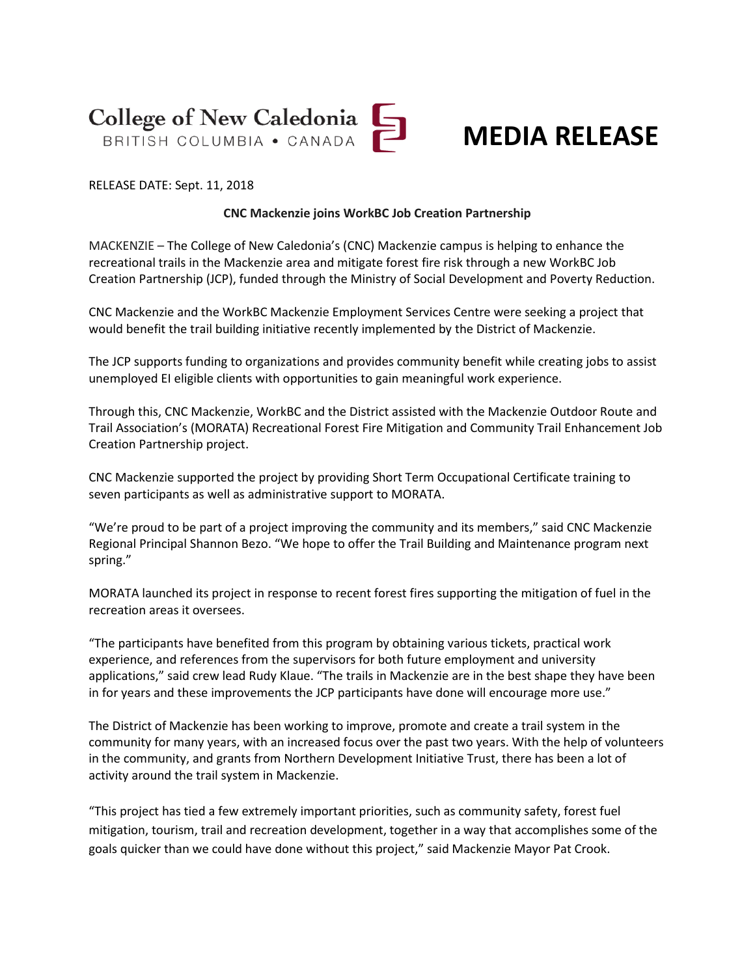



RELEASE DATE: Sept. 11, 2018

## **CNC Mackenzie joins WorkBC Job Creation Partnership**

MACKENZIE – The College of New Caledonia's (CNC) Mackenzie campus is helping to enhance the recreational trails in the Mackenzie area and mitigate forest fire risk through a new WorkBC Job Creation Partnership (JCP), funded through the Ministry of Social Development and Poverty Reduction.

CNC Mackenzie and the WorkBC Mackenzie Employment Services Centre were seeking a project that would benefit the trail building initiative recently implemented by the District of Mackenzie.

The JCP supports funding to organizations and provides community benefit while creating jobs to assist unemployed EI eligible clients with opportunities to gain meaningful work experience.

Through this, CNC Mackenzie, WorkBC and the District assisted with the Mackenzie Outdoor Route and Trail Association's (MORATA) Recreational Forest Fire Mitigation and Community Trail Enhancement Job Creation Partnership project.

CNC Mackenzie supported the project by providing Short Term Occupational Certificate training to seven participants as well as administrative support to MORATA.

"We're proud to be part of a project improving the community and its members," said CNC Mackenzie Regional Principal Shannon Bezo. "We hope to offer the Trail Building and Maintenance program next spring."

MORATA launched its project in response to recent forest fires supporting the mitigation of fuel in the recreation areas it oversees.

"The participants have benefited from this program by obtaining various tickets, practical work experience, and references from the supervisors for both future employment and university applications," said crew lead Rudy Klaue. "The trails in Mackenzie are in the best shape they have been in for years and these improvements the JCP participants have done will encourage more use."

The District of Mackenzie has been working to improve, promote and create a trail system in the community for many years, with an increased focus over the past two years. With the help of volunteers in the community, and grants from Northern Development Initiative Trust, there has been a lot of activity around the trail system in Mackenzie.

"This project has tied a few extremely important priorities, such as community safety, forest fuel mitigation, tourism, trail and recreation development, together in a way that accomplishes some of the goals quicker than we could have done without this project," said Mackenzie Mayor Pat Crook.